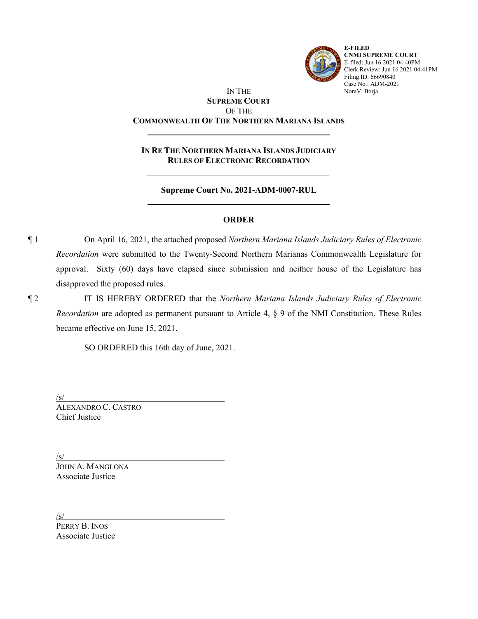

**E-FILED CNMI SUPREME COURT** E-filed: Jun 16 2021 04:40PM Clerk Review: Jun 16 2021 04:41PM Filing ID: 66690840 Case No.: ADM-2021 NoraV Borja

# IN THE **SUPREME COURT** OF THE **COMMONWEALTH OF THE NORTHERN MARIANA ISLANDS**

**IN RE THE NORTHERN MARIANA ISLANDS JUDICIARY RULES OF ELECTRONIC RECORDATION**

**Supreme Court No. 2021-ADM-0007-RUL**

# **ORDER**

¶ 1 On April 16, 2021, the attached proposed *Northern Mariana Islands Judiciary Rules of Electronic Recordation* were submitted to the Twenty-Second Northern Marianas Commonwealth Legislature for approval. Sixty (60) days have elapsed since submission and neither house of the Legislature has disapproved the proposed rules.

¶ 2 IT IS HEREBY ORDERED that the *Northern Mariana Islands Judiciary Rules of Electronic Recordation* are adopted as permanent pursuant to Article 4, § 9 of the NMI Constitution. These Rules became effective on June 15, 2021.

SO ORDERED this 16th day of June, 2021.

/s/

ALEXANDRO C. CASTRO Chief Justice

/s/ JOHN A. MANGLONA Associate Justice

 $\sqrt{s/2}$ 

PERRY B. INOS Associate Justice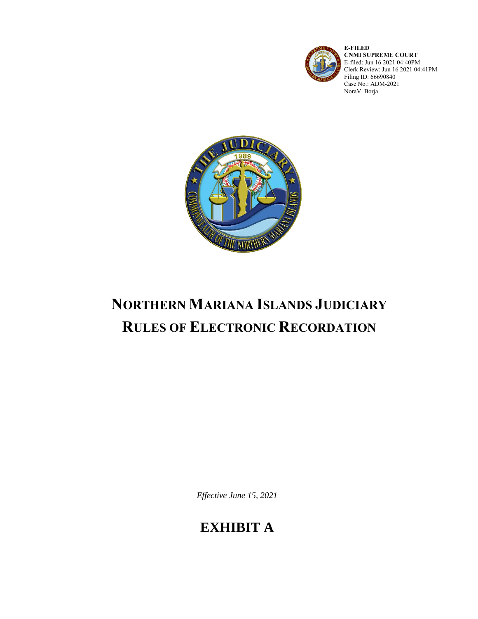

**E-FILED CNMI SUPREME COURT** E-filed: Jun 16 2021 04:40PM Clerk Review: Jun 16 2021 04:41PM Filing ID: 66690840 Case No.: ADM-2021 NoraV Borja



# **NORTHERN MARIANA ISLANDS JUDICIARY RULES OF ELECTRONIC RECORDATION**

*Effective June 15, 2021*

# **EXHIBIT A**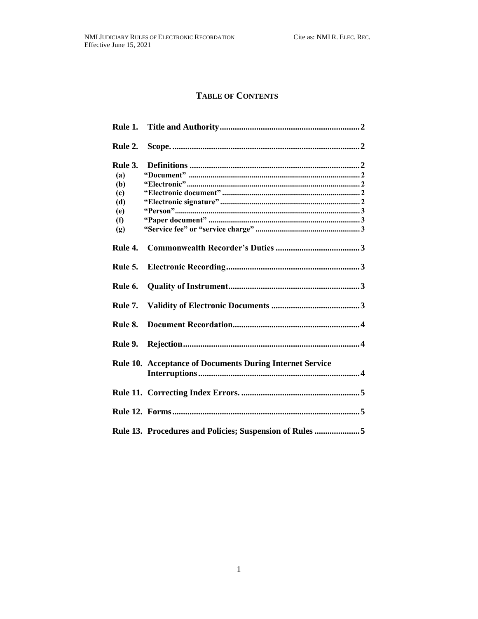# **TABLE OF CONTENTS**

| Rule 2. |                                                                 |
|---------|-----------------------------------------------------------------|
| Rule 3. |                                                                 |
| (a)     |                                                                 |
| (b)     |                                                                 |
| (c)     |                                                                 |
| (d)     |                                                                 |
| (e)     |                                                                 |
| (f)     |                                                                 |
| (g)     |                                                                 |
| Rule 4. |                                                                 |
| Rule 5. |                                                                 |
| Rule 6. |                                                                 |
| Rule 7. |                                                                 |
| Rule 8. |                                                                 |
| Rule 9. |                                                                 |
|         | <b>Rule 10. Acceptance of Documents During Internet Service</b> |
|         |                                                                 |
|         |                                                                 |
|         | Rule 13. Procedures and Policies; Suspension of Rules 5         |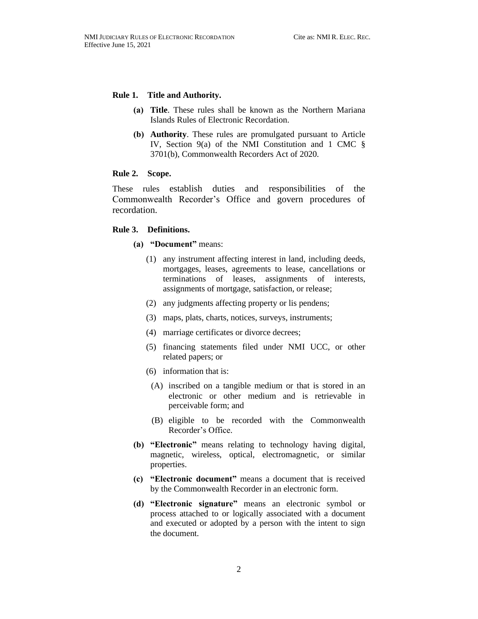#### <span id="page-3-0"></span>**Rule 1. Title and Authority.**

- **(a) Title**. These rules shall be known as the Northern Mariana Islands Rules of Electronic Recordation.
- **(b) Authority**. These rules are promulgated pursuant to Article IV, Section 9(a) of the NMI Constitution and 1 CMC § 3701(b), Commonwealth Recorders Act of 2020.

### <span id="page-3-1"></span>**Rule 2. Scope.**

These rules establish duties and responsibilities of the Commonwealth Recorder's Office and govern procedures of recordation.

#### <span id="page-3-3"></span><span id="page-3-2"></span>**Rule 3. Definitions.**

# **(a) "Document"** means:

- (1) any instrument affecting interest in land, including deeds, mortgages, leases, agreements to lease, cancellations or terminations of leases, assignments of interests, assignments of mortgage, satisfaction, or release;
- (2) any judgments affecting property or lis pendens;
- (3) maps, plats, charts, notices, surveys, instruments;
- (4) marriage certificates or divorce decrees;
- (5) financing statements filed under NMI UCC, or other related papers; or
- (6) information that is:
- (A) inscribed on a tangible medium or that is stored in an electronic or other medium and is retrievable in perceivable form; and
- (B) eligible to be recorded with the Commonwealth Recorder's Office.
- <span id="page-3-4"></span>**(b) "Electronic"** means relating to technology having digital, magnetic, wireless, optical, electromagnetic, or similar properties.
- <span id="page-3-5"></span>**(c) "Electronic document"** means a document that is received by the Commonwealth Recorder in an electronic form.
- <span id="page-3-6"></span>**(d) "Electronic signature"** means an electronic symbol or process attached to or logically associated with a document and executed or adopted by a person with the intent to sign the document.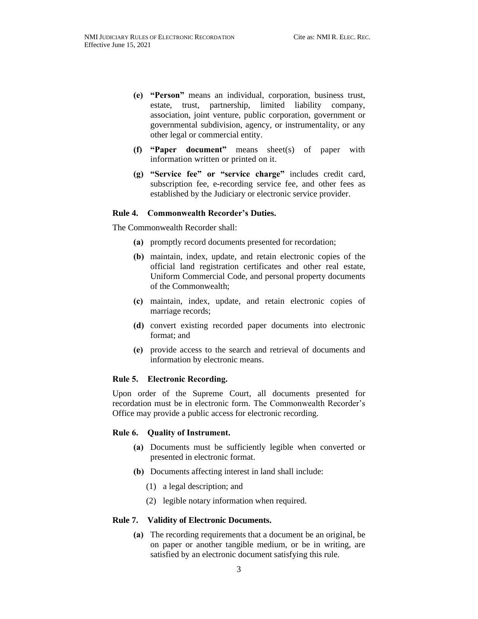- <span id="page-4-0"></span>**(e) "Person"** means an individual, corporation, business trust, estate, trust, partnership, limited liability company, association, joint venture, public corporation, government or governmental subdivision, agency, or instrumentality, or any other legal or commercial entity.
- <span id="page-4-1"></span>**(f) "Paper document"** means sheet(s) of paper with information written or printed on it.
- <span id="page-4-2"></span>**(g) "Service fee" or "service charge"** includes credit card, subscription fee, e-recording service fee, and other fees as established by the Judiciary or electronic service provider.

#### <span id="page-4-3"></span>**Rule 4. Commonwealth Recorder's Duties.**

The Commonwealth Recorder shall:

- **(a)** promptly record documents presented for recordation;
- **(b)** maintain, index, update, and retain electronic copies of the official land registration certificates and other real estate, Uniform Commercial Code, and personal property documents of the Commonwealth;
- **(c)** maintain, index, update, and retain electronic copies of marriage records;
- **(d)** convert existing recorded paper documents into electronic format; and
- **(e)** provide access to the search and retrieval of documents and information by electronic means.

#### <span id="page-4-4"></span>**Rule 5. Electronic Recording.**

Upon order of the Supreme Court, all documents presented for recordation must be in electronic form. The Commonwealth Recorder's Office may provide a public access for electronic recording.

#### <span id="page-4-5"></span>**Rule 6. Quality of Instrument.**

- **(a)** Documents must be sufficiently legible when converted or presented in electronic format.
- **(b)** Documents affecting interest in land shall include:
	- (1) a legal description; and
	- (2) legible notary information when required.

#### <span id="page-4-6"></span>**Rule 7. Validity of Electronic Documents.**

**(a)** The recording requirements that a document be an original, be on paper or another tangible medium, or be in writing, are satisfied by an electronic document satisfying this rule.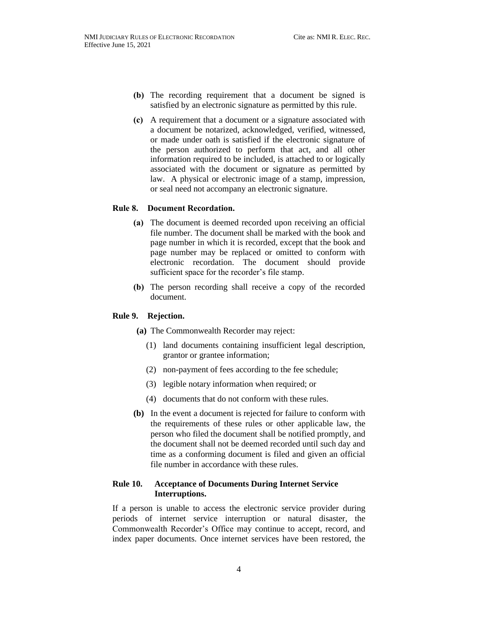- **(b)** The recording requirement that a document be signed is satisfied by an electronic signature as permitted by this rule.
- **(c)** A requirement that a document or a signature associated with a document be notarized, acknowledged, verified, witnessed, or made under oath is satisfied if the electronic signature of the person authorized to perform that act, and all other information required to be included, is attached to or logically associated with the document or signature as permitted by law. A physical or electronic image of a stamp, impression, or seal need not accompany an electronic signature.

#### <span id="page-5-0"></span>**Rule 8. Document Recordation.**

- **(a)** The document is deemed recorded upon receiving an official file number. The document shall be marked with the book and page number in which it is recorded, except that the book and page number may be replaced or omitted to conform with electronic recordation. The document should provide sufficient space for the recorder's file stamp.
- **(b)** The person recording shall receive a copy of the recorded document.

#### <span id="page-5-1"></span>**Rule 9. Rejection.**

- **(a)** The Commonwealth Recorder may reject:
	- (1) land documents containing insufficient legal description, grantor or grantee information;
	- (2) non-payment of fees according to the fee schedule;
	- (3) legible notary information when required; or
	- (4) documents that do not conform with these rules.
- **(b)** In the event a document is rejected for failure to conform with the requirements of these rules or other applicable law, the person who filed the document shall be notified promptly, and the document shall not be deemed recorded until such day and time as a conforming document is filed and given an official file number in accordance with these rules.

# <span id="page-5-2"></span>**Rule 10. Acceptance of Documents During Internet Service Interruptions.**

If a person is unable to access the electronic service provider during periods of internet service interruption or natural disaster, the Commonwealth Recorder's Office may continue to accept, record, and index paper documents. Once internet services have been restored, the